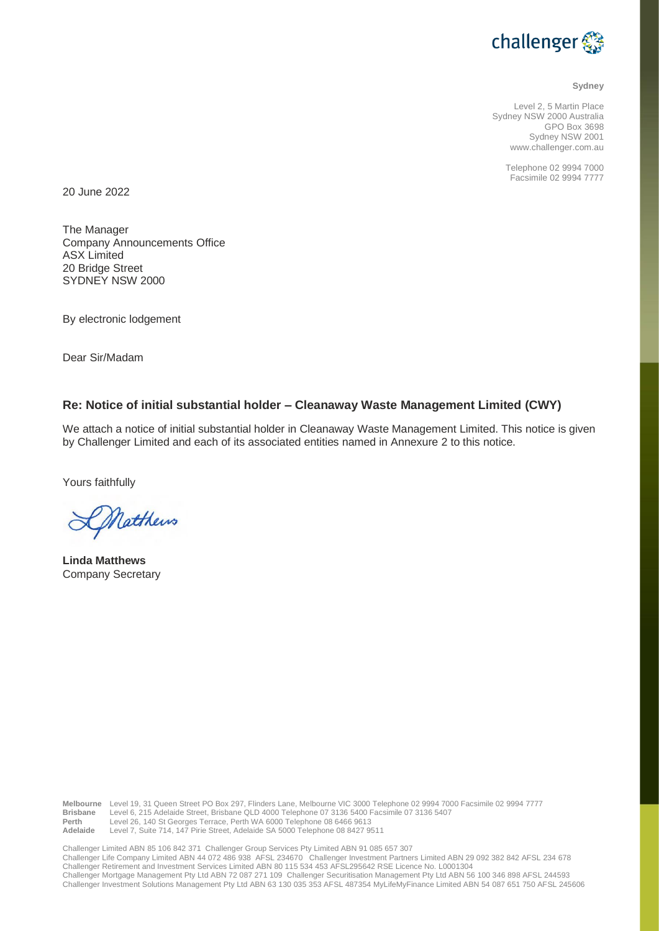

#### **Sydney**

Level 2, 5 Martin Place Sydney NSW 2000 Australia GPO Box 3698 Sydney NSW 2001 www.challenger.com.au

> Telephone 02 9994 7000 Facsimile 02 9994 7777

20 June 2022

The Manager Company Announcements Office ASX Limited 20 Bridge Street SYDNEY NSW 2000

By electronic lodgement

Dear Sir/Madam

## **Re: Notice of initial substantial holder – Cleanaway Waste Management Limited (CWY)**

We attach a notice of initial substantial holder in Cleanaway Waste Management Limited. This notice is given by Challenger Limited and each of its associated entities named in Annexure 2 to this notice.

Yours faithfully

DNatthews

**Linda Matthews** Company Secretary

**Melbourne** Level 19, 31 Queen Street PO Box 297, Flinders Lane, Melbourne VIC 3000 Telephone 02 9994 7000 Facsimile 02 9994 7777 **Brisbane** Level 6, 215 Adelaide Street, Brisbane QLD 4000 Telephone 07 3136 5400 Facsimile 07 3136 5407<br>**Perthapping 18 640 St Georges Terrace, Perth WA 6000 Telephone 08 6466 9613 Perth Level 26, 140 St Georges Terrace, Perth WA 6000 Telephone 08 6466 9613**<br>**Adelaide** Level 7. Suite 714, 147 Pirie Street, Adelaide SA 5000 Telephone 08 8427 95 Level 7, Suite 714, 147 Pirie Street, Adelaide SA 5000 Telephone 08 8427 9511

Challenger Limited ABN 85 106 842 371 Challenger Group Services Pty Limited ABN 91 085 657 307 Challenger Life Company Limited ABN 44 072 486 938 AFSL 234670 Challenger Investment Partners Limited ABN 29 092 382 842 AFSL 234 678<br>Challenger Retirement and Investment Services Limited ABN 80 115 534 453 AFSL295642 RSE Challenger Mortgage Management Pty Ltd ABN 72 087 271 109 Challenger Securitisation Management Pty Ltd ABN 56 100 346 898 AFSL 244593 Challenger Investment Solutions Management Pty Ltd ABN 63 130 035 353 AFSL 487354 MyLifeMyFinance Limited ABN 54 087 651 750 AFSL 245606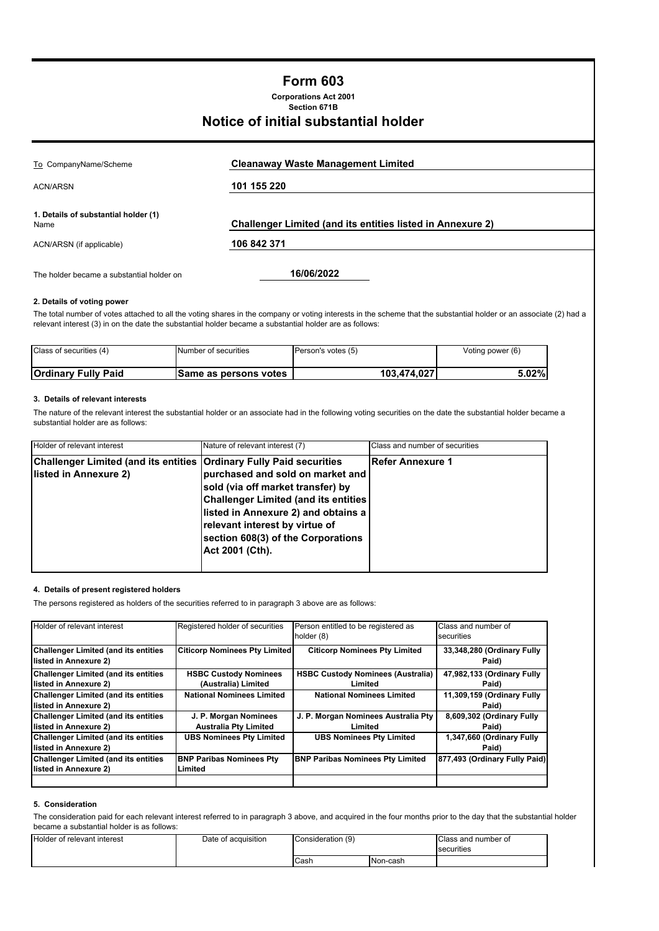# **Form 603**

**Corporations Act 2001 Section 671B**

# **Notice of initial substantial holder**

| To CompanyName/Scheme                        | <b>Cleanaway Waste Management Limited</b>                         |
|----------------------------------------------|-------------------------------------------------------------------|
| <b>ACN/ARSN</b>                              | 101 155 220                                                       |
|                                              |                                                                   |
| 1. Details of substantial holder (1)<br>Name | <b>Challenger Limited (and its entities listed in Annexure 2)</b> |
| ACN/ARSN (if applicable)                     | 106 842 371                                                       |
|                                              |                                                                   |
| The holder became a substantial holder on    | 16/06/2022                                                        |

## **2. Details of voting power**

The total number of votes attached to all the voting shares in the company or voting interests in the scheme that the substantial holder or an associate (2) had a relevant interest (3) in on the date the substantial holder became a substantial holder are as follows:

| Class of securities (4)    | Number of securities  | Person's votes (5) | Voting power (6) |
|----------------------------|-----------------------|--------------------|------------------|
| <b>Ordinary Fully Paid</b> | Same as persons votes | 103.474.027        | 5.02%            |

## **3. Details of relevant interests**

The nature of the relevant interest the substantial holder or an associate had in the following voting securities on the date the substantial holder became a substantial holder are as follows:

| Holder of relevant interest                                                                   | Nature of relevant interest (7)                                                                                                                                                                                                                         | Class and number of securities |
|-----------------------------------------------------------------------------------------------|---------------------------------------------------------------------------------------------------------------------------------------------------------------------------------------------------------------------------------------------------------|--------------------------------|
| Challenger Limited (and its entities  Ordinary Fully Paid securities<br>listed in Annexure 2) | purchased and sold on market and<br>sold (via off market transfer) by<br><b>Challenger Limited (and its entities)</b><br>listed in Annexure 2) and obtains a<br>relevant interest by virtue of<br>section 608(3) of the Corporations<br>Act 2001 (Cth). | <b>Refer Annexure 1</b>        |

#### **4. Details of present registered holders**

The persons registered as holders of the securities referred to in paragraph 3 above are as follows:

| Holder of relevant interest                                          | Registered holder of securities                       | Person entitled to be registered as<br>holder (8)   | Class and number of<br>securities   |
|----------------------------------------------------------------------|-------------------------------------------------------|-----------------------------------------------------|-------------------------------------|
| <b>Challenger Limited (and its entities</b><br>listed in Annexure 2) | <b>Citicorp Nominees Pty Limited</b>                  | <b>Citicorp Nominees Pty Limited</b>                | 33,348,280 (Ordinary Fully<br>Paid) |
| <b>Challenger Limited (and its entities</b><br>listed in Annexure 2) | <b>HSBC Custody Nominees</b><br>(Australia) Limited   | <b>HSBC Custody Nominees (Australia)</b><br>Limited | 47,982,133 (Ordinary Fully<br>Paid) |
| <b>Challenger Limited (and its entities</b><br>listed in Annexure 2) | <b>National Nominees Limited</b>                      | <b>National Nominees Limited</b>                    | 11.309,159 (Ordinary Fully<br>Paid) |
| <b>Challenger Limited (and its entities</b><br>listed in Annexure 2) | J. P. Morgan Nominees<br><b>Australia Pty Limited</b> | J. P. Morgan Nominees Australia Pty<br>Limited      | 8,609,302 (Ordinary Fully<br>Paid)  |
| <b>Challenger Limited (and its entities</b><br>listed in Annexure 2) | <b>UBS Nominees Pty Limited</b>                       | <b>UBS Nominees Pty Limited</b>                     | 1,347,660 (Ordinary Fully<br>Paid)  |
| <b>Challenger Limited (and its entities</b><br>listed in Annexure 2) | <b>BNP Paribas Nominees Pty</b><br>Limited            | <b>BNP Paribas Nominees Pty Limited</b>             | 877,493 (Ordinary Fully Paid)       |

#### **5. Consideration**

The consideration paid for each relevant interest referred to in paragraph 3 above, and acquired in the four months prior to the day that the substantial holder became a substantial holder is as follows:

| Holder of relevant interest | Date of acquisition | Consideration (9)<br><b>Cash</b><br>Non-cash |  | Class and number of<br>securities |
|-----------------------------|---------------------|----------------------------------------------|--|-----------------------------------|
|                             |                     |                                              |  |                                   |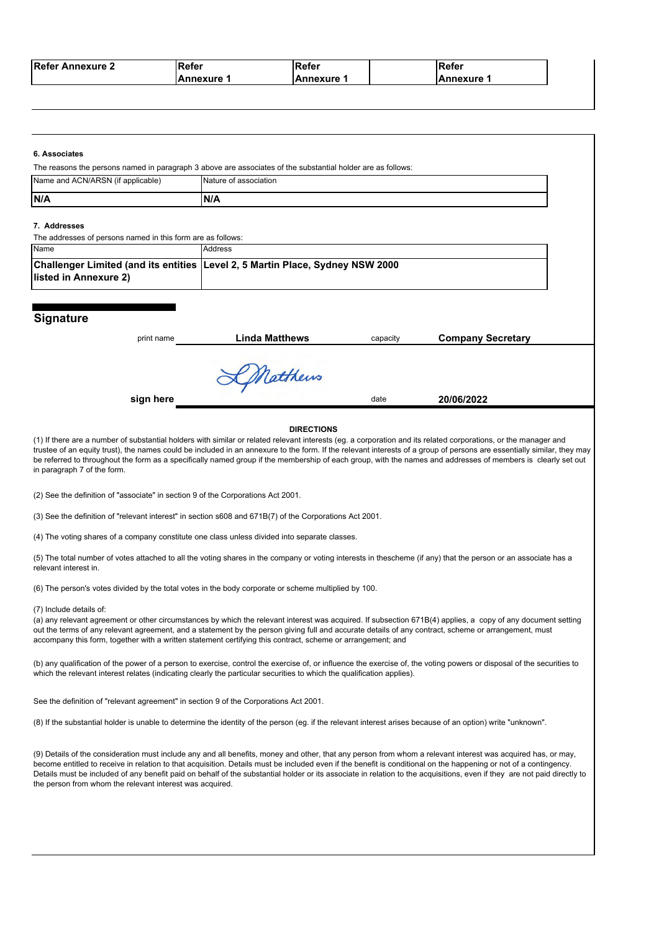| <b>Refer Annexure 2</b> | <b>IRefer</b>      | Refer    | ∣Refer     |
|-------------------------|--------------------|----------|------------|
|                         | <b>IAnnexure 1</b> | Annexure | Annexure 1 |

|                                                             | The reasons the persons named in paragraph 3 above are associates of the substantial holder are as follows: |          |                          |  |  |  |
|-------------------------------------------------------------|-------------------------------------------------------------------------------------------------------------|----------|--------------------------|--|--|--|
| Name and ACN/ARSN (if applicable)                           | Nature of association                                                                                       |          |                          |  |  |  |
| N/A                                                         | N/A                                                                                                         |          |                          |  |  |  |
| 7. Addresses                                                |                                                                                                             |          |                          |  |  |  |
| The addresses of persons named in this form are as follows: |                                                                                                             |          |                          |  |  |  |
| Name                                                        | Address                                                                                                     |          |                          |  |  |  |
|                                                             | Challenger Limited (and its entities Level 2, 5 Martin Place, Sydney NSW 2000                               |          |                          |  |  |  |
|                                                             |                                                                                                             |          |                          |  |  |  |
| listed in Annexure 2)                                       |                                                                                                             |          |                          |  |  |  |
| Signature<br>print name                                     | <b>Linda Matthews</b>                                                                                       | capacity | <b>Company Secretary</b> |  |  |  |
|                                                             | KMatthews                                                                                                   |          |                          |  |  |  |

be referred to throughout the form as a specifically named group if the membership of each group, with the names and addresses of members is clearly set out in paragraph 7 of the form.

(2) See the definition of "associate" in section 9 of the Corporations Act 2001.

(3) See the definition of "relevant interest" in section s608 and 671B(7) of the Corporations Act 2001.

(4) The voting shares of a company constitute one class unless divided into separate classes.

(5) The total number of votes attached to all the voting shares in the company or voting interests in thescheme (if any) that the person or an associate has a relevant interest in.

(6) The person's votes divided by the total votes in the body corporate or scheme multiplied by 100.

(7) Include details of:

(a) any relevant agreement or other circumstances by which the relevant interest was acquired. If subsection 671B(4) applies, a copy of any document setting out the terms of any relevant agreement, and a statement by the person giving full and accurate details of any contract, scheme or arrangement, must accompany this form, together with a written statement certifying this contract, scheme or arrangement; and

(b) any qualification of the power of a person to exercise, control the exercise of, or influence the exercise of, the voting powers or disposal of the securities to which the relevant interest relates (indicating clearly the particular securities to which the qualification applies).

See the definition of "relevant agreement" in section 9 of the Corporations Act 2001.

(8) If the substantial holder is unable to determine the identity of the person (eg. if the relevant interest arises because of an option) write "unknown".

(9) Details of the consideration must include any and all benefits, money and other, that any person from whom a relevant interest was acquired has, or may, become entitled to receive in relation to that acquisition. Details must be included even if the benefit is conditional on the happening or not of a contingency. Details must be included of any benefit paid on behalf of the substantial holder or its associate in relation to the acquisitions, even if they are not paid directly to the person from whom the relevant interest was acquired.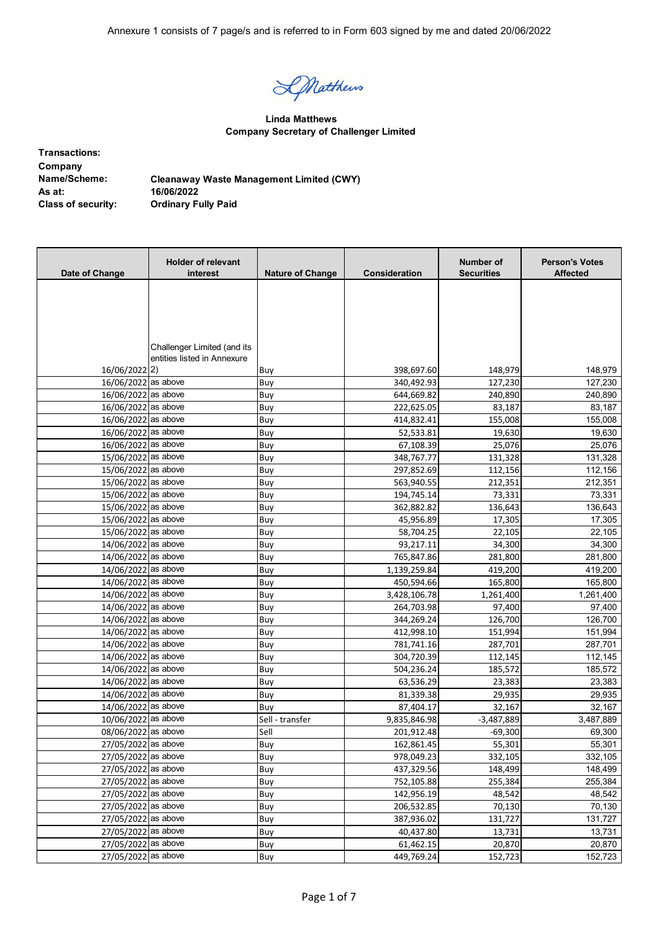DMatthews

**Linda Matthews Company Secretary of Challenger Limited**

| <b>Transactions:</b>      |                                                 |
|---------------------------|-------------------------------------------------|
| Company                   |                                                 |
| Name/Scheme:              | <b>Cleanaway Waste Management Limited (CWY)</b> |
| As at:                    | 16/06/2022                                      |
| <b>Class of security:</b> | <b>Ordinary Fully Paid</b>                      |

| Date of Change      | <b>Holder of relevant</b><br>interest | <b>Nature of Change</b> | Consideration | Number of<br><b>Securities</b> | <b>Person's Votes</b><br><b>Affected</b> |
|---------------------|---------------------------------------|-------------------------|---------------|--------------------------------|------------------------------------------|
|                     |                                       |                         |               |                                |                                          |
|                     |                                       |                         |               |                                |                                          |
|                     |                                       |                         |               |                                |                                          |
|                     |                                       |                         |               |                                |                                          |
|                     |                                       |                         |               |                                |                                          |
|                     | Challenger Limited (and its           |                         |               |                                |                                          |
|                     | entities listed in Annexure           |                         |               |                                |                                          |
| 16/06/2022 2)       |                                       | Buy                     | 398,697.60    | 148,979                        | 148,979                                  |
| 16/06/2022 as above |                                       | Buy                     | 340,492.93    | 127,230                        | 127,230                                  |
| 16/06/2022 as above |                                       | Buy                     | 644,669.82    | 240,890                        | 240,890                                  |
| 16/06/2022 as above |                                       | Buy                     | 222,625.05    | 83,187                         | 83,187                                   |
| 16/06/2022 as above |                                       | Buy                     | 414,832.41    | 155,008                        | 155,008                                  |
| 16/06/2022 as above |                                       | Buy                     | 52,533.81     | 19,630                         | 19,630                                   |
| 16/06/2022 as above |                                       | Buy                     | 67,108.39     | 25,076                         | 25,076                                   |
| 15/06/2022 as above |                                       | Buy                     | 348,767.77    | 131,328                        | 131,328                                  |
| 15/06/2022 as above |                                       | Buy                     | 297,852.69    | 112,156                        | 112,156                                  |
| 15/06/2022 as above |                                       | Buy                     | 563,940.55    | 212,351                        | 212,351                                  |
| 15/06/2022 as above |                                       | Buy                     | 194,745.14    | 73,331                         | 73,331                                   |
| 15/06/2022 as above |                                       | Buy                     | 362,882.82    | 136,643                        | 136,643                                  |
| 15/06/2022 as above |                                       | Buy                     | 45,956.89     | 17,305                         | 17,305                                   |
| 15/06/2022 as above |                                       | Buy                     | 58,704.25     | 22,105                         | 22,105                                   |
| 14/06/2022 as above |                                       | Buy                     | 93,217.11     | 34,300                         | 34,300                                   |
| 14/06/2022 as above |                                       | Buy                     | 765,847.86    | 281,800                        | 281,800                                  |
| 14/06/2022 as above |                                       | Buy                     | 1,139,259.84  | 419,200                        | 419,200                                  |
| 14/06/2022 as above |                                       | Buy                     | 450,594.66    | 165,800                        | 165,800                                  |
| 14/06/2022 as above |                                       | Buy                     | 3,428,106.78  | 1,261,400                      | 1,261,400                                |
| 14/06/2022 as above |                                       | Buy                     | 264,703.98    | 97,400                         | 97,400                                   |
| 14/06/2022 as above |                                       | Buy                     | 344,269.24    | 126,700                        | 126,700                                  |
| 14/06/2022 as above |                                       | Buy                     | 412,998.10    | 151,994                        | 151,994                                  |
| 14/06/2022 as above |                                       | Buy                     | 781,741.16    | 287,701                        | 287,701                                  |
| 14/06/2022 as above |                                       | Buy                     | 304,720.39    | 112,145                        | 112,145                                  |
| 14/06/2022 as above |                                       | Buy                     | 504,236.24    | 185,572                        | 185,572                                  |
| 14/06/2022 as above |                                       | Buy                     | 63,536.29     | 23,383                         | 23,383                                   |
| 14/06/2022 as above |                                       | Buy                     | 81,339.38     | 29,935                         | 29,935                                   |
| 14/06/2022 as above |                                       | Buy                     | 87,404.17     | 32,167                         | 32,167                                   |
| 10/06/2022 as above |                                       | Sell - transfer         | 9,835,846.98  | $-3,487,889$                   | 3,487,889                                |
| 08/06/2022 as above |                                       | Sell                    | 201,912.48    | $-69,300$                      | 69,300                                   |
| 27/05/2022 as above |                                       | Buy                     | 162,861.45    | 55,301                         | 55,301                                   |
| 27/05/2022 as above |                                       | Buy                     | 978,049.23    | 332,105                        | 332,105                                  |
| 27/05/2022 as above |                                       | Buy                     | 437,329.56    | 148,499                        | 148,499                                  |
| 27/05/2022 as above |                                       | Buy                     | 752,105.88    | 255,384                        | 255,384                                  |
| 27/05/2022 as above |                                       | Buy                     | 142,956.19    | 48,542                         | 48,542                                   |
| 27/05/2022 as above |                                       | Buy                     | 206,532.85    | 70,130                         | 70,130                                   |
| 27/05/2022 as above |                                       | Buy                     | 387,936.02    | 131,727                        | 131,727                                  |
| 27/05/2022 as above |                                       | Buy                     | 40,437.80     | 13,731                         | 13,731                                   |
| 27/05/2022 as above |                                       | Buy                     | 61,462.15     | 20,870                         | 20,870                                   |
| 27/05/2022 as above |                                       | Buy                     | 449,769.24    | 152,723                        | 152,723                                  |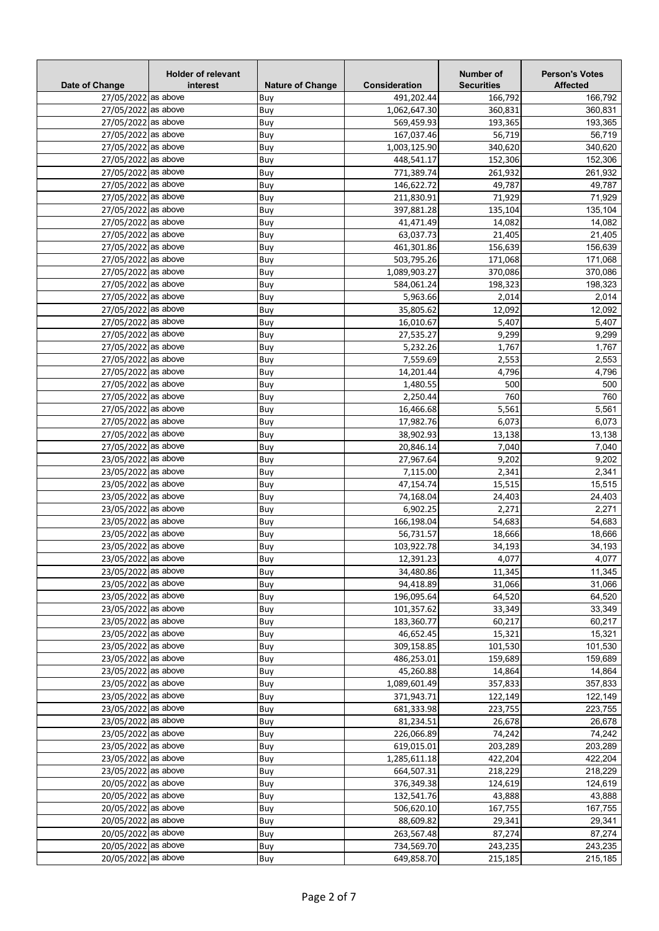| Date of Change      | <b>Holder of relevant</b><br>interest | <b>Nature of Change</b> | Consideration | Number of<br><b>Securities</b> | <b>Person's Votes</b><br><b>Affected</b> |
|---------------------|---------------------------------------|-------------------------|---------------|--------------------------------|------------------------------------------|
| 27/05/2022 as above |                                       | Buy                     | 491,202.44    | 166,792                        | 166,792                                  |
| 27/05/2022 as above |                                       | Buy                     | 1,062,647.30  | 360,831                        | 360,831                                  |
| 27/05/2022 as above |                                       | Buy                     | 569,459.93    | 193,365                        | 193,365                                  |
| 27/05/2022 as above |                                       | Buy                     | 167,037.46    | 56.719                         | 56,719                                   |
| 27/05/2022 as above |                                       | Buy                     | 1,003,125.90  | 340,620                        | 340,620                                  |
| 27/05/2022 as above |                                       | Buy                     | 448,541.17    | 152,306                        | 152,306                                  |
| 27/05/2022 as above |                                       | Buy                     | 771,389.74    | 261,932                        | 261,932                                  |
| 27/05/2022 as above |                                       | Buy                     | 146,622.72    | 49,787                         | 49,787                                   |
| 27/05/2022 as above |                                       | Buy                     | 211,830.91    | 71,929                         | 71,929                                   |
| 27/05/2022 as above |                                       | Buy                     | 397,881.28    | 135,104                        | 135,104                                  |
| 27/05/2022 as above |                                       | Buy                     | 41,471.49     | 14,082                         | 14,082                                   |
| 27/05/2022 as above |                                       | Buy                     | 63,037.73     | 21,405                         | 21,405                                   |
| 27/05/2022 as above |                                       | Buy                     | 461,301.86    | 156,639                        | 156,639                                  |
| 27/05/2022 as above |                                       | Buy                     | 503,795.26    | 171,068                        | 171,068                                  |
| 27/05/2022 as above |                                       | Buy                     | 1,089,903.27  | 370,086                        | 370,086                                  |
| 27/05/2022 as above |                                       | Buy                     | 584,061.24    | 198,323                        | 198,323                                  |
| 27/05/2022 as above |                                       | Buy                     | 5,963.66      | 2,014                          | 2,014                                    |
| 27/05/2022 as above |                                       | Buy                     | 35,805.62     | 12,092                         | 12,092                                   |
| 27/05/2022 as above |                                       | Buy                     | 16,010.67     | 5,407                          | 5,407                                    |
| 27/05/2022 as above |                                       | Buy                     | 27,535.27     | 9,299                          | 9,299                                    |
| 27/05/2022 as above |                                       | Buy                     | 5,232.26      | 1,767                          | 1,767                                    |
| 27/05/2022 as above |                                       | Buy                     | 7,559.69      | 2,553                          | 2,553                                    |
| 27/05/2022 as above |                                       | Buy                     | 14,201.44     | 4,796                          | 4,796                                    |
| 27/05/2022 as above |                                       | Buy                     | 1,480.55      | 500                            | 500                                      |
| 27/05/2022 as above |                                       |                         | 2,250.44      | 760                            | 760                                      |
| 27/05/2022 as above |                                       | Buy<br>Buy              | 16,466.68     | 5,561                          | 5,561                                    |
| 27/05/2022 as above |                                       |                         |               |                                |                                          |
| 27/05/2022 as above |                                       | Buy                     | 17,982.76     | 6,073                          | 6,073                                    |
|                     |                                       | Buy                     | 38,902.93     | 13,138                         | 13,138                                   |
| 27/05/2022 as above |                                       | Buy                     | 20,846.14     | 7,040                          | 7,040                                    |
| 23/05/2022 as above |                                       | Buy                     | 27,967.64     | 9,202                          | 9,202                                    |
| 23/05/2022 as above |                                       | Buy                     | 7,115.00      | 2,341                          | 2,341                                    |
| 23/05/2022 as above |                                       | Buy                     | 47,154.74     | 15,515                         | 15,515                                   |
| 23/05/2022 as above |                                       | Buy                     | 74,168.04     | 24,403                         | 24,403                                   |
| 23/05/2022 as above |                                       | Buy                     | 6,902.25      | 2,271                          | 2,271                                    |
| 23/05/2022 as above |                                       | Buy                     | 166,198.04    | 54,683                         | 54,683                                   |
| 23/05/2022 as above |                                       | Buy                     | 56,731.57     | 18,666                         | 18,666                                   |
| 23/05/2022 as above |                                       | Buy                     | 103,922.78    | 34,193                         | 34,193                                   |
| 23/05/2022 as above |                                       | Buy                     | 12,391.23     | 4,077                          | 4,077                                    |
| 23/05/2022 as above |                                       | Buy                     | 34,480.86     | 11,345                         | 11,345                                   |
| 23/05/2022 as above |                                       | Buy                     | 94,418.89     | 31,066                         | 31,066                                   |
| 23/05/2022 as above |                                       | Buy                     | 196,095.64    | 64,520                         | 64,520                                   |
| 23/05/2022 as above |                                       | Buy                     | 101,357.62    | 33,349                         | 33,349                                   |
| 23/05/2022 as above |                                       | Buy                     | 183,360.77    | 60,217                         | 60,217                                   |
| 23/05/2022 as above |                                       | Buy                     | 46,652.45     | 15,321                         | 15,321                                   |
| 23/05/2022 as above |                                       | Buy                     | 309,158.85    | 101,530                        | 101,530                                  |
| 23/05/2022 as above |                                       | Buy                     | 486,253.01    | 159,689                        | 159,689                                  |
| 23/05/2022 as above |                                       | Buy                     | 45,260.88     | 14,864                         | 14,864                                   |
| 23/05/2022 as above |                                       | Buy                     | 1,089,601.49  | 357,833                        | 357,833                                  |
| 23/05/2022 as above |                                       | Buy                     | 371,943.71    | 122,149                        | 122,149                                  |
| 23/05/2022 as above |                                       | Buy                     | 681,333.98    | 223,755                        | 223,755                                  |
| 23/05/2022 as above |                                       | Buy                     | 81,234.51     | 26,678                         | 26,678                                   |
| 23/05/2022 as above |                                       | Buy                     | 226,066.89    | 74,242                         | 74,242                                   |
| 23/05/2022 as above |                                       | Buy                     | 619,015.01    | 203,289                        | 203,289                                  |
| 23/05/2022 as above |                                       | Buy                     | 1,285,611.18  | 422,204                        | 422,204                                  |
| 23/05/2022 as above |                                       | Buy                     | 664,507.31    | 218,229                        | 218,229                                  |
| 20/05/2022 as above |                                       | Buy                     | 376,349.38    | 124,619                        | 124,619                                  |
| 20/05/2022 as above |                                       | Buy                     | 132,541.76    | 43,888                         | 43,888                                   |
| 20/05/2022 as above |                                       | Buy                     | 506,620.10    | 167,755                        | 167,755                                  |
| 20/05/2022 as above |                                       | Buy                     | 88,609.82     | 29,341                         | 29,341                                   |
| 20/05/2022 as above |                                       | Buy                     | 263,567.48    | 87,274                         | 87,274                                   |
| 20/05/2022 as above |                                       | Buy                     | 734,569.70    | 243,235                        | 243,235                                  |
| 20/05/2022 as above |                                       | Buy                     | 649,858.70    | 215,185                        | 215,185                                  |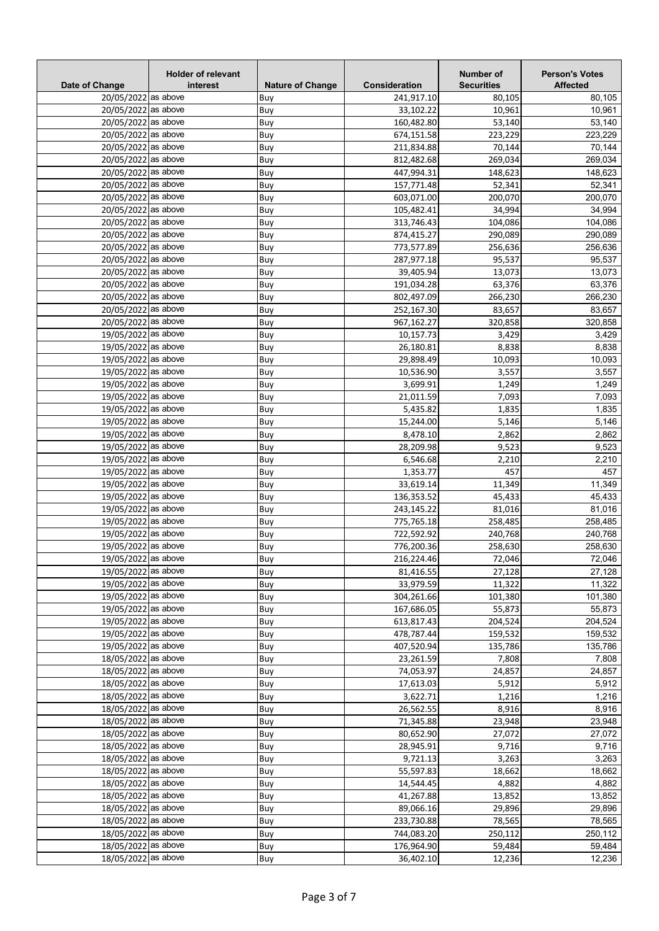| Date of Change      | <b>Holder of relevant</b><br>interest | <b>Nature of Change</b> | Consideration | Number of<br><b>Securities</b> | <b>Person's Votes</b><br><b>Affected</b> |
|---------------------|---------------------------------------|-------------------------|---------------|--------------------------------|------------------------------------------|
| 20/05/2022 as above |                                       | Buy                     | 241,917.10    | 80,105                         | 80,105                                   |
| 20/05/2022 as above |                                       | Buy                     | 33,102.22     | 10,961                         | 10,961                                   |
| 20/05/2022 as above |                                       | Buy                     | 160,482.80    | 53,140                         | 53,140                                   |
| 20/05/2022 as above |                                       | Buy                     | 674,151.58    | 223,229                        | 223,229                                  |
| 20/05/2022 as above |                                       | Buy                     | 211,834.88    | 70,144                         | 70,144                                   |
| 20/05/2022 as above |                                       | Buy                     | 812,482.68    | 269,034                        | 269,034                                  |
| 20/05/2022 as above |                                       | Buy                     | 447,994.31    | 148,623                        | 148,623                                  |
| 20/05/2022 as above |                                       | Buy                     | 157,771.48    | 52,341                         | 52,341                                   |
| 20/05/2022 as above |                                       | Buy                     | 603,071.00    | 200,070                        | 200,070                                  |
| 20/05/2022 as above |                                       | Buy                     | 105,482.41    | 34,994                         | 34,994                                   |
| 20/05/2022 as above |                                       | Buy                     | 313,746.43    | 104,086                        | 104,086                                  |
| 20/05/2022 as above |                                       | Buy                     | 874,415.27    | 290,089                        | 290,089                                  |
| 20/05/2022 as above |                                       | Buy                     | 773,577.89    | 256,636                        | 256,636                                  |
| 20/05/2022 as above |                                       | Buy                     | 287,977.18    | 95,537                         | 95,537                                   |
| 20/05/2022 as above |                                       | Buy                     | 39,405.94     | 13,073                         | 13,073                                   |
| 20/05/2022 as above |                                       | Buy                     | 191,034.28    | 63,376                         | 63,376                                   |
| 20/05/2022 as above |                                       | Buy                     | 802,497.09    | 266,230                        | 266,230                                  |
| 20/05/2022 as above |                                       | Buy                     | 252,167.30    | 83,657                         | 83,657                                   |
| 20/05/2022 as above |                                       | Buy                     | 967,162.27    | 320,858                        | 320,858                                  |
| 19/05/2022 as above |                                       | Buy                     | 10,157.73     | 3,429                          | 3,429                                    |
| 19/05/2022 as above |                                       | Buy                     | 26,180.81     | 8,838                          | 8,838                                    |
| 19/05/2022 as above |                                       | Buy                     | 29,898.49     | 10,093                         | 10,093                                   |
| 19/05/2022 as above |                                       | Buy                     | 10,536.90     | 3,557                          | 3,557                                    |
| 19/05/2022 as above |                                       | Buy                     | 3,699.91      | 1,249                          | 1,249                                    |
| 19/05/2022 as above |                                       | Buy                     | 21,011.59     | 7,093                          | 7,093                                    |
| 19/05/2022 as above |                                       | Buy                     | 5,435.82      | 1,835                          | 1,835                                    |
| 19/05/2022 as above |                                       | Buy                     | 15,244.00     | 5,146                          | 5,146                                    |
| 19/05/2022 as above |                                       | Buy                     | 8,478.10      | 2,862                          | 2,862                                    |
| 19/05/2022 as above |                                       | Buy                     | 28,209.98     | 9,523                          | 9,523                                    |
| 19/05/2022 as above |                                       | Buy                     | 6,546.68      | 2,210                          | 2,210                                    |
| 19/05/2022 as above |                                       | Buy                     | 1,353.77      | 457                            | 457                                      |
| 19/05/2022 as above |                                       | Buy                     | 33,619.14     | 11,349                         | 11,349                                   |
| 19/05/2022 as above |                                       | Buy                     | 136,353.52    | 45,433                         | 45,433                                   |
| 19/05/2022 as above |                                       | Buy                     | 243,145.22    | 81,016                         | 81,016                                   |
| 19/05/2022 as above |                                       | Buy                     | 775,765.18    | 258,485                        | 258,485                                  |
| 19/05/2022 as above |                                       | Buy                     | 722,592.92    | 240,768                        | 240,768                                  |
| 19/05/2022 as above |                                       | Buy                     | 776,200.36    | 258,630                        | 258,630                                  |
| 19/05/2022 as above |                                       | Buy                     | 216,224.46    | 72,046                         | 72,046                                   |
| 19/05/2022 as above |                                       | Buy                     | 81,416.55     | 27,128                         | 27,128                                   |
| 19/05/2022 as above |                                       | Buy                     | 33,979.59     | 11,322                         | 11,322                                   |
| 19/05/2022 as above |                                       | Buy                     | 304,261.66    | 101,380                        | 101,380                                  |
| 19/05/2022 as above |                                       | Buy                     | 167,686.05    | 55,873                         | 55,873                                   |
| 19/05/2022 as above |                                       | Buy                     | 613,817.43    | 204,524                        | 204,524                                  |
| 19/05/2022 as above |                                       | Buy                     | 478,787.44    | 159,532                        | 159,532                                  |
| 19/05/2022 as above |                                       | Buy                     | 407,520.94    | 135,786                        | 135,786                                  |
| 18/05/2022 as above |                                       | Buy                     | 23,261.59     | 7,808                          | 7,808                                    |
| 18/05/2022 as above |                                       | Buy                     | 74,053.97     | 24,857                         | 24,857                                   |
| 18/05/2022 as above |                                       | Buy                     | 17,613.03     | 5,912                          | 5,912                                    |
| 18/05/2022 as above |                                       | Buy                     | 3,622.71      | 1,216                          | 1,216                                    |
| 18/05/2022 as above |                                       | Buy                     | 26,562.55     | 8,916                          | 8,916                                    |
| 18/05/2022 as above |                                       | Buy                     | 71,345.88     | 23,948                         | 23,948                                   |
| 18/05/2022 as above |                                       | Buy                     | 80,652.90     | 27,072                         | 27,072                                   |
| 18/05/2022 as above |                                       | Buy                     | 28,945.91     | 9,716                          | 9,716                                    |
| 18/05/2022 as above |                                       | Buy                     | 9,721.13      | 3,263                          | 3,263                                    |
| 18/05/2022 as above |                                       | Buy                     | 55,597.83     | 18,662                         | 18,662                                   |
| 18/05/2022 as above |                                       | Buy                     | 14,544.45     | 4,882                          | 4,882                                    |
| 18/05/2022 as above |                                       | Buy                     | 41,267.88     | 13,852                         | 13,852                                   |
| 18/05/2022 as above |                                       | Buy                     | 89,066.16     | 29,896                         | 29,896                                   |
| 18/05/2022 as above |                                       | Buy                     | 233,730.88    | 78,565                         | 78,565                                   |
| 18/05/2022 as above |                                       | Buy                     | 744,083.20    | 250,112                        | 250,112                                  |
| 18/05/2022 as above |                                       | Buy                     | 176,964.90    | 59,484                         | 59,484                                   |
| 18/05/2022 as above |                                       | Buy                     | 36,402.10     | 12,236                         | 12,236                                   |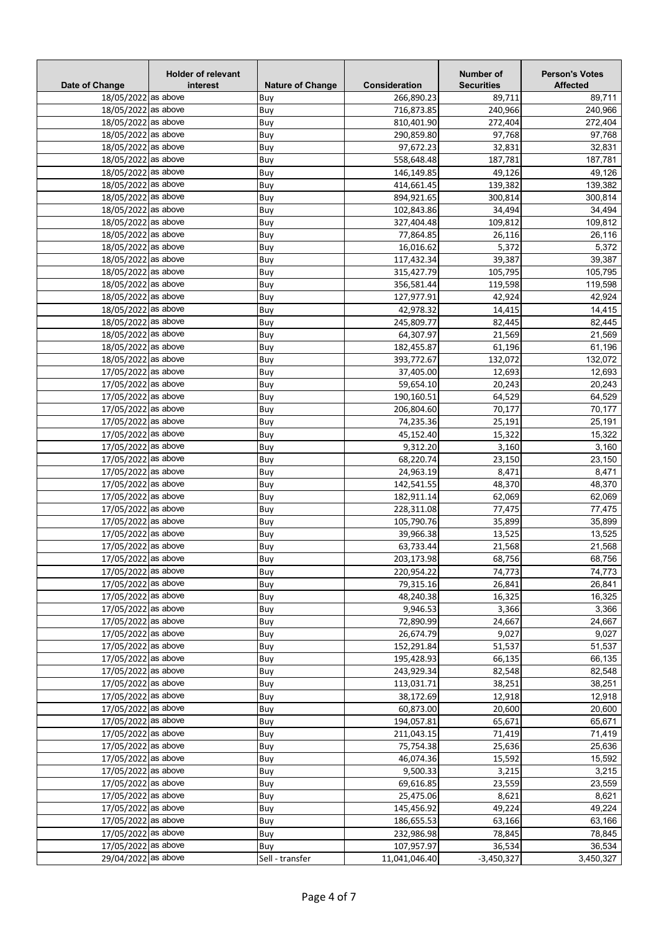| Date of Change                             | <b>Holder of relevant</b><br>interest | <b>Nature of Change</b> | Consideration            | Number of<br><b>Securities</b> | <b>Person's Votes</b><br><b>Affected</b> |
|--------------------------------------------|---------------------------------------|-------------------------|--------------------------|--------------------------------|------------------------------------------|
| 18/05/2022 as above                        |                                       | Buy                     | 266,890.23               | 89,711                         | 89,711                                   |
| 18/05/2022 as above                        |                                       | Buy                     | 716,873.85               | 240,966                        | 240,966                                  |
| 18/05/2022 as above                        |                                       | Buy                     | 810,401.90               | 272,404                        | 272,404                                  |
| 18/05/2022 as above                        |                                       | Buy                     | 290,859.80               | 97.768                         | 97,768                                   |
| 18/05/2022 as above                        |                                       | Buy                     | 97,672.23                | 32,831                         | 32,831                                   |
| 18/05/2022 as above                        |                                       | Buy                     | 558,648.48               | 187,781                        | 187,781                                  |
| 18/05/2022 as above                        |                                       | Buy                     | 146,149.85               | 49,126                         | 49,126                                   |
| 18/05/2022 as above                        |                                       | Buy                     | 414,661.45               | 139,382                        | 139,382                                  |
| 18/05/2022 as above                        |                                       | Buy                     | 894,921.65               | 300,814                        | 300,814                                  |
| 18/05/2022 as above                        |                                       | Buy                     | 102,843.86               | 34,494                         | 34,494                                   |
| 18/05/2022 as above                        |                                       | Buy                     | 327,404.48               | 109,812                        | 109,812                                  |
| 18/05/2022 as above                        |                                       | Buy                     | 77,864.85                | 26,116                         | 26,116                                   |
| 18/05/2022 as above                        |                                       | Buy                     | 16,016.62                | 5,372                          | 5,372                                    |
| 18/05/2022 as above                        |                                       | Buy                     | 117,432.34               | 39,387                         | 39,387                                   |
| 18/05/2022 as above                        |                                       | Buy                     | 315,427.79               | 105,795                        | 105,795                                  |
| 18/05/2022 as above                        |                                       | Buy                     | 356,581.44               | 119,598                        | 119,598                                  |
| 18/05/2022 as above                        |                                       | Buy                     | 127,977.91               | 42.924                         | 42,924                                   |
| 18/05/2022 as above                        |                                       | Buy                     | 42,978.32                | 14,415                         | 14,415                                   |
| 18/05/2022 as above                        |                                       | Buy                     | 245,809.77               | 82,445                         | 82,445                                   |
| 18/05/2022 as above                        |                                       | Buy                     | 64,307.97                | 21,569                         | 21,569                                   |
| 18/05/2022 as above                        |                                       | Buy                     | 182,455.87               | 61,196                         | 61,196                                   |
| 18/05/2022 as above                        |                                       | Buy                     | 393,772.67               | 132,072                        | 132,072                                  |
| 17/05/2022 as above                        |                                       | Buy                     | 37,405.00                | 12,693                         | 12,693                                   |
| 17/05/2022 as above                        |                                       | Buy                     | 59,654.10                | 20,243                         | 20,243                                   |
| 17/05/2022 as above                        |                                       | Buy                     | 190,160.51               | 64,529                         | 64,529                                   |
| 17/05/2022 as above                        |                                       | Buy                     | 206,804.60               | 70,177                         | 70,177                                   |
| 17/05/2022 as above                        |                                       | Buy                     | 74,235.36                | 25,191                         | 25,191                                   |
| 17/05/2022 as above                        |                                       | Buy                     | 45,152.40                | 15,322                         | 15,322                                   |
| 17/05/2022 as above                        |                                       | Buy                     | 9,312.20                 | 3,160                          | 3,160                                    |
| 17/05/2022 as above                        |                                       | Buy                     | 68,220.74                | 23,150                         | 23,150                                   |
| 17/05/2022 as above                        |                                       | Buy                     | 24,963.19                | 8,471                          | 8,471                                    |
| 17/05/2022 as above                        |                                       | Buy                     | 142,541.55               | 48,370<br>62,069               | 48,370                                   |
| 17/05/2022 as above<br>17/05/2022 as above |                                       | Buy                     | 182,911.14               |                                | 62,069                                   |
| 17/05/2022 as above                        |                                       | Buy                     | 228,311.08<br>105,790.76 | 77,475<br>35,899               | 77,475<br>35,899                         |
| 17/05/2022 as above                        |                                       | Buy<br>Buy              | 39,966.38                | 13,525                         | 13,525                                   |
| 17/05/2022 as above                        |                                       | Buy                     | 63,733.44                | 21,568                         | 21,568                                   |
| 17/05/2022 as above                        |                                       |                         | 203,173.98               |                                |                                          |
| 17/05/2022 as above                        |                                       | Buy<br>Buy              | 220,954.22               | 68,756<br>74,773               | 68,756<br>74,773                         |
| 17/05/2022 as above                        |                                       | Buy                     | 79,315.16                | 26,841                         | 26,841                                   |
| 17/05/2022 as above                        |                                       | Buy                     | 48,240.38                | 16,325                         | 16,325                                   |
| 17/05/2022 as above                        |                                       | Buy                     | 9,946.53                 | 3,366                          | 3,366                                    |
| 17/05/2022 as above                        |                                       | Buy                     | 72,890.99                | 24,667                         | 24,667                                   |
| 17/05/2022 as above                        |                                       | Buy                     | 26,674.79                | 9,027                          | 9,027                                    |
| 17/05/2022 as above                        |                                       | Buy                     | 152,291.84               | 51,537                         | 51,537                                   |
| 17/05/2022 as above                        |                                       | Buy                     | 195,428.93               | 66,135                         | 66,135                                   |
| 17/05/2022 as above                        |                                       | Buy                     | 243,929.34               | 82,548                         | 82,548                                   |
| 17/05/2022 as above                        |                                       | Buy                     | 113,031.71               | 38,251                         | 38,251                                   |
| 17/05/2022 as above                        |                                       | Buy                     | 38,172.69                | 12,918                         | 12,918                                   |
| 17/05/2022 as above                        |                                       | Buy                     | 60,873.00                | 20,600                         | 20,600                                   |
| 17/05/2022 as above                        |                                       | Buy                     | 194,057.81               | 65,671                         | 65,671                                   |
| 17/05/2022 as above                        |                                       | Buy                     | 211,043.15               | 71,419                         | 71,419                                   |
| 17/05/2022 as above                        |                                       | Buy                     | 75,754.38                | 25,636                         | 25,636                                   |
| 17/05/2022 as above                        |                                       | Buy                     | 46,074.36                | 15,592                         | 15,592                                   |
| 17/05/2022 as above                        |                                       | Buy                     | 9,500.33                 | 3,215                          | 3,215                                    |
| 17/05/2022 as above                        |                                       | Buy                     | 69,616.85                | 23,559                         | 23,559                                   |
| 17/05/2022 as above                        |                                       | Buy                     | 25,475.06                | 8,621                          | 8,621                                    |
| 17/05/2022 as above                        |                                       | Buy                     | 145,456.92               | 49,224                         | 49,224                                   |
| 17/05/2022 as above                        |                                       | Buy                     | 186,655.53               | 63,166                         | 63,166                                   |
| 17/05/2022 as above                        |                                       | Buy                     | 232,986.98               | 78,845                         | 78,845                                   |
| 17/05/2022 as above                        |                                       | Buy                     | 107,957.97               | 36,534                         | 36,534                                   |
| 29/04/2022 as above                        |                                       | Sell - transfer         | 11,041,046.40            | $-3,450,327$                   | 3,450,327                                |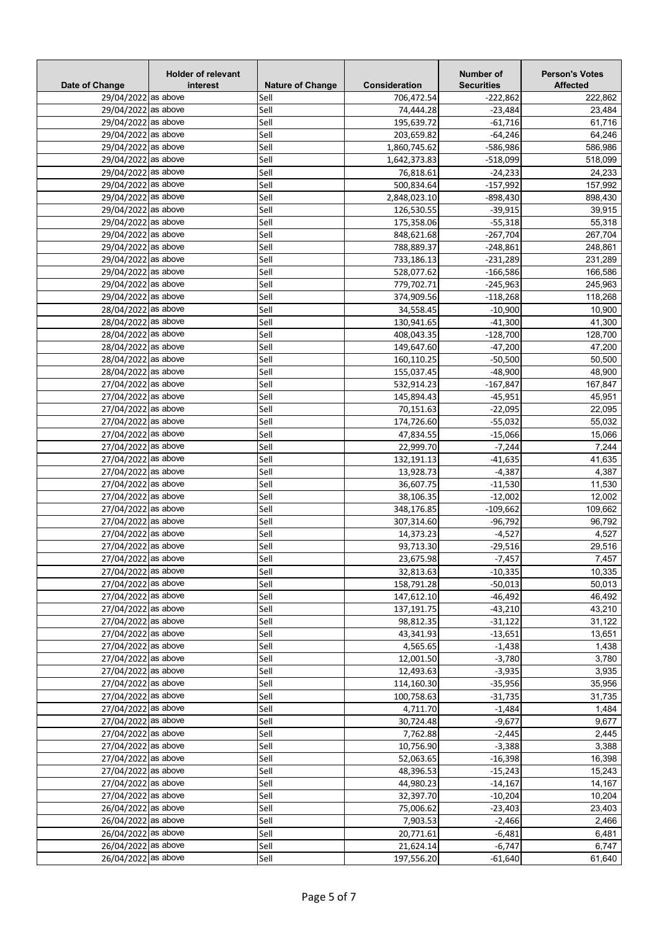| Date of Change      | <b>Holder of relevant</b><br>interest | <b>Nature of Change</b> | Consideration | Number of<br><b>Securities</b> | <b>Person's Votes</b><br><b>Affected</b> |
|---------------------|---------------------------------------|-------------------------|---------------|--------------------------------|------------------------------------------|
| 29/04/2022 as above |                                       | Sell                    | 706,472.54    | $-222,862$                     | 222,862                                  |
| 29/04/2022 as above |                                       | Sell                    | 74,444.28     | $-23,484$                      | 23,484                                   |
| 29/04/2022 as above |                                       | Sell                    | 195,639.72    | $-61,716$                      | 61,716                                   |
| 29/04/2022 as above |                                       | Sell                    | 203,659.82    | $-64,246$                      | 64,246                                   |
| 29/04/2022 as above |                                       | Sell                    | 1,860,745.62  | -586,986                       | 586,986                                  |
| 29/04/2022 as above |                                       | Sell                    | 1,642,373.83  | $-518,099$                     | 518,099                                  |
| 29/04/2022 as above |                                       | Sell                    | 76,818.61     | $-24,233$                      | 24,233                                   |
| 29/04/2022 as above |                                       | Sell                    | 500,834.64    | $-157,992$                     | 157,992                                  |
| 29/04/2022 as above |                                       | Sell                    | 2,848,023.10  | $-898,430$                     | 898,430                                  |
| 29/04/2022 as above |                                       | Sell                    | 126,530.55    | $-39,915$                      | 39,915                                   |
| 29/04/2022 as above |                                       | Sell                    | 175,358.06    | $-55,318$                      | 55,318                                   |
| 29/04/2022 as above |                                       | Sell                    | 848,621.68    | $-267,704$                     | 267,704                                  |
| 29/04/2022 as above |                                       | Sell                    | 788,889.37    | $-248,861$                     | 248,861                                  |
| 29/04/2022 as above |                                       | Sell                    | 733,186.13    | $-231,289$                     | 231,289                                  |
| 29/04/2022 as above |                                       | Sell                    | 528,077.62    | -166,586                       | 166,586                                  |
| 29/04/2022 as above |                                       | Sell                    | 779,702.71    | $-245,963$                     | 245,963                                  |
| 29/04/2022 as above |                                       | Sell                    | 374,909.56    | $-118,268$                     | 118,268                                  |
| 28/04/2022 as above |                                       | Sell                    | 34,558.45     | $-10,900$                      | 10,900                                   |
| 28/04/2022 as above |                                       | Sell                    | 130,941.65    | $-41,300$                      | 41,300                                   |
| 28/04/2022 as above |                                       | Sell                    | 408,043.35    | $-128,700$                     | 128,700                                  |
| 28/04/2022 as above |                                       | Sell                    | 149,647.60    | $-47,200$                      | 47,200                                   |
| 28/04/2022 as above |                                       | Sell                    | 160,110.25    | $-50,500$                      | 50,500                                   |
| 28/04/2022 as above |                                       | Sell                    | 155,037.45    | $-48,900$                      | 48,900                                   |
| 27/04/2022 as above |                                       | Sell                    | 532,914.23    | $-167,847$                     | 167,847                                  |
| 27/04/2022 as above |                                       | Sell                    | 145,894.43    | $-45,951$                      | 45,951                                   |
| 27/04/2022 as above |                                       | Sell                    | 70,151.63     | $-22,095$                      | 22,095                                   |
| 27/04/2022 as above |                                       |                         |               |                                |                                          |
|                     |                                       | Sell                    | 174,726.60    | $-55,032$                      | 55,032                                   |
| 27/04/2022 as above |                                       | Sell                    | 47,834.55     | $-15,066$                      | 15,066                                   |
| 27/04/2022 as above |                                       | Sell                    | 22,999.70     | $-7,244$                       | 7,244                                    |
| 27/04/2022 as above |                                       | Sell                    | 132,191.13    | $-41,635$                      | 41,635                                   |
| 27/04/2022 as above |                                       | Sell                    | 13,928.73     | $-4,387$                       | 4,387                                    |
| 27/04/2022 as above |                                       | Sell                    | 36,607.75     | $-11,530$                      | 11,530                                   |
| 27/04/2022 as above |                                       | Sell                    | 38,106.35     | $-12,002$                      | 12,002                                   |
| 27/04/2022 as above |                                       | Sell                    | 348,176.85    | $-109,662$                     | 109,662                                  |
| 27/04/2022 as above |                                       | Sell                    | 307,314.60    | $-96,792$                      | 96,792                                   |
| 27/04/2022 as above |                                       | Sell                    | 14,373.23     | $-4,527$                       | 4,527                                    |
| 27/04/2022 as above |                                       | Sell                    | 93,713.30     | $-29,516$                      | 29,516                                   |
| 27/04/2022 as above |                                       | Sell                    | 23,675.98     | $-7,457$                       | 7,457                                    |
| 27/04/2022 as above |                                       | Sell                    | 32,813.63     | $-10,335$                      | 10,335                                   |
| 27/04/2022 as above |                                       | Sell                    | 158,791.28    | $-50,013$                      | 50,013                                   |
| 27/04/2022 as above |                                       | Sell                    | 147,612.10    | $-46,492$                      | 46,492                                   |
| 27/04/2022 as above |                                       | Sell                    | 137,191.75    | $-43,210$                      | 43,210                                   |
| 27/04/2022 as above |                                       | Sell                    | 98,812.35     | $-31,122$                      | 31,122                                   |
| 27/04/2022 as above |                                       | Sell                    | 43,341.93     | $-13,651$                      | 13,651                                   |
| 27/04/2022 as above |                                       | Sell                    | 4,565.65      | $-1,438$                       | 1,438                                    |
| 27/04/2022 as above |                                       | Sell                    | 12,001.50     | $-3,780$                       | 3,780                                    |
| 27/04/2022 as above |                                       | Sell                    | 12,493.63     | $-3,935$                       | 3,935                                    |
| 27/04/2022 as above |                                       | Sell                    | 114,160.30    | $-35,956$                      | 35,956                                   |
| 27/04/2022 as above |                                       | Sell                    | 100,758.63    | $-31,735$                      | 31,735                                   |
| 27/04/2022 as above |                                       | Sell                    | 4,711.70      | $-1,484$                       | 1,484                                    |
| 27/04/2022 as above |                                       | Sell                    | 30,724.48     | $-9,677$                       | 9,677                                    |
| 27/04/2022 as above |                                       | Sell                    | 7,762.88      | $-2,445$                       | 2,445                                    |
| 27/04/2022 as above |                                       | Sell                    | 10,756.90     | $-3,388$                       | 3,388                                    |
| 27/04/2022 as above |                                       | Sell                    | 52,063.65     | $-16,398$                      | 16,398                                   |
| 27/04/2022 as above |                                       | Sell                    | 48,396.53     | $-15,243$                      | 15,243                                   |
| 27/04/2022 as above |                                       | Sell                    | 44,980.23     | $-14,167$                      | 14,167                                   |
| 27/04/2022 as above |                                       | Sell                    | 32,397.70     | $-10,204$                      | 10,204                                   |
| 26/04/2022 as above |                                       | Sell                    | 75,006.62     | $-23,403$                      | 23,403                                   |
| 26/04/2022 as above |                                       | Sell                    | 7,903.53      | $-2,466$                       | 2,466                                    |
| 26/04/2022 as above |                                       | Sell                    | 20,771.61     | $-6,481$                       | 6,481                                    |
| 26/04/2022 as above |                                       | Sell                    | 21,624.14     | $-6,747$                       | 6,747                                    |
| 26/04/2022 as above |                                       | Sell                    | 197,556.20    | $-61,640$                      | 61,640                                   |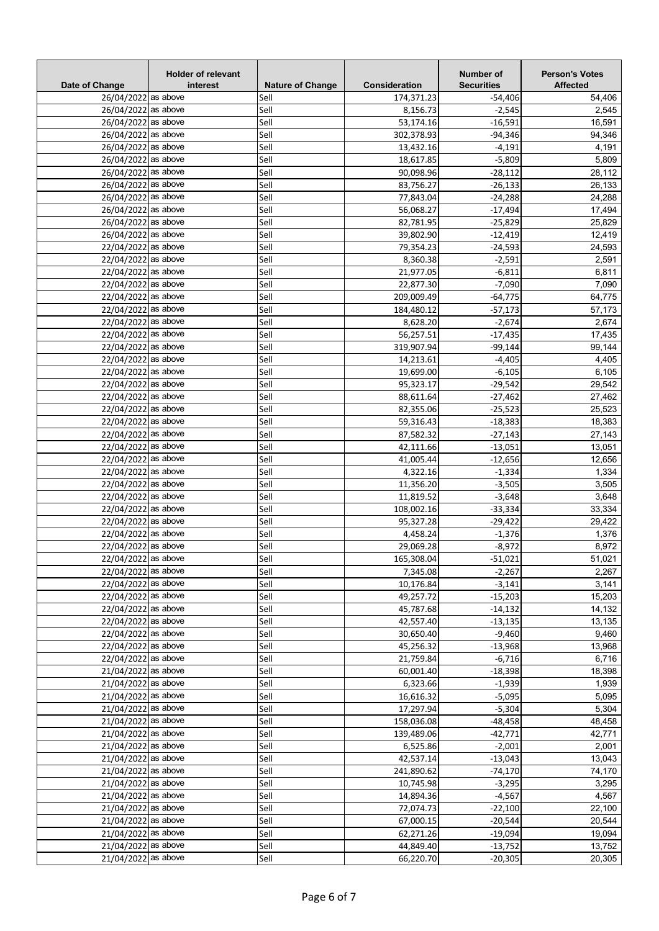| Date of Change      | <b>Holder of relevant</b><br>interest | <b>Nature of Change</b> | Consideration | Number of<br><b>Securities</b> | <b>Person's Votes</b><br><b>Affected</b> |
|---------------------|---------------------------------------|-------------------------|---------------|--------------------------------|------------------------------------------|
| 26/04/2022 as above |                                       | Sell                    | 174,371.23    | $-54,406$                      | 54,406                                   |
| 26/04/2022 as above |                                       | Sell                    | 8,156.73      | $-2,545$                       | 2,545                                    |
| 26/04/2022 as above |                                       | Sell                    | 53,174.16     | $-16,591$                      | 16,591                                   |
| 26/04/2022 as above |                                       | Sell                    | 302,378.93    | $-94,346$                      | 94,346                                   |
| 26/04/2022 as above |                                       | Sell                    | 13,432.16     | $-4,191$                       | 4,191                                    |
| 26/04/2022 as above |                                       | Sell                    | 18,617.85     | $-5,809$                       | 5,809                                    |
| 26/04/2022 as above |                                       | Sell                    | 90,098.96     | $-28,112$                      | 28,112                                   |
| 26/04/2022 as above |                                       | Sell                    | 83,756.27     | $-26,133$                      | 26,133                                   |
| 26/04/2022 as above |                                       | Sell                    | 77,843.04     | $-24,288$                      | 24,288                                   |
| 26/04/2022 as above |                                       | Sell                    | 56,068.27     | $-17,494$                      | 17,494                                   |
| 26/04/2022 as above |                                       | Sell                    | 82,781.95     | $-25,829$                      | 25,829                                   |
| 26/04/2022 as above |                                       | Sell                    | 39,802.90     | $-12,419$                      | 12,419                                   |
| 22/04/2022 as above |                                       | Sell                    | 79,354.23     | $-24,593$                      | 24,593                                   |
| 22/04/2022 as above |                                       | Sell                    | 8,360.38      | $-2,591$                       | 2,591                                    |
| 22/04/2022 as above |                                       | Sell                    | 21,977.05     | $-6,811$                       | 6,811                                    |
| 22/04/2022 as above |                                       | Sell                    | 22,877.30     | $-7,090$                       | 7,090                                    |
| 22/04/2022 as above |                                       | Sell                    | 209,009.49    | $-64,775$                      | 64,775                                   |
| 22/04/2022 as above |                                       | Sell                    | 184,480.12    | $-57,173$                      | 57,173                                   |
| 22/04/2022 as above |                                       | Sell                    | 8,628.20      | $-2,674$                       | 2,674                                    |
| 22/04/2022 as above |                                       | Sell                    | 56,257.51     | $-17,435$                      | 17,435                                   |
| 22/04/2022 as above |                                       | Sell                    | 319,907.94    | $-99,144$                      | 99,144                                   |
| 22/04/2022 as above |                                       | Sell                    | 14,213.61     | $-4,405$                       | 4,405                                    |
| 22/04/2022 as above |                                       | Sell                    | 19,699.00     | $-6,105$                       | 6,105                                    |
| 22/04/2022 as above |                                       | Sell                    | 95,323.17     | $-29,542$                      | 29,542                                   |
| 22/04/2022 as above |                                       | Sell                    | 88,611.64     | $-27,462$                      | 27,462                                   |
| 22/04/2022 as above |                                       | Sell                    | 82,355.06     | $-25,523$                      | 25,523                                   |
| 22/04/2022 as above |                                       | Sell                    | 59,316.43     | $-18,383$                      | 18,383                                   |
| 22/04/2022 as above |                                       | Sell                    | 87,582.32     | $-27,143$                      | 27,143                                   |
| 22/04/2022 as above |                                       | Sell                    | 42,111.66     | $-13,051$                      | 13,051                                   |
| 22/04/2022 as above |                                       | Sell                    | 41,005.44     | $-12,656$                      | 12,656                                   |
| 22/04/2022 as above |                                       | Sell                    | 4,322.16      | $-1,334$                       | 1,334                                    |
| 22/04/2022 as above |                                       | Sell                    | 11,356.20     | $-3,505$                       | 3,505                                    |
| 22/04/2022 as above |                                       | Sell                    | 11,819.52     | $-3,648$                       | 3,648                                    |
| 22/04/2022 as above |                                       | Sell                    | 108,002.16    | $-33,334$                      | 33,334                                   |
| 22/04/2022 as above |                                       | Sell                    | 95,327.28     | $-29,422$                      | 29,422                                   |
| 22/04/2022 as above |                                       | Sell                    | 4,458.24      | $-1,376$                       | 1,376                                    |
| 22/04/2022 as above |                                       | Sell                    | 29,069.28     | $-8,972$                       | 8,972                                    |
| 22/04/2022 as above |                                       | Sell                    | 165,308.04    | $-51,021$                      | 51,021                                   |
| 22/04/2022 as above |                                       | Sell                    | 7,345.08      | $-2,267$                       | 2,267                                    |
| 22/04/2022 as above |                                       | Sell                    | 10,176.84     | $-3,141$                       | 3,141                                    |
| 22/04/2022 as above |                                       | Sell                    | 49,257.72     | $-15,203$                      | 15,203                                   |
| 22/04/2022 as above |                                       | Sell                    | 45,787.68     | $-14,132$                      | 14,132                                   |
| 22/04/2022 as above |                                       | Sell                    | 42,557.40     | $-13,135$                      | 13,135                                   |
| 22/04/2022 as above |                                       | Sell                    | 30,650.40     | $-9,460$                       | 9,460                                    |
| 22/04/2022 as above |                                       | Sell                    | 45,256.32     | $-13,968$                      | 13,968                                   |
| 22/04/2022 as above |                                       | Sell                    | 21,759.84     | $-6,716$                       | 6,716                                    |
| 21/04/2022 as above |                                       | Sell                    | 60,001.40     | $-18,398$                      | 18,398                                   |
| 21/04/2022 as above |                                       | Sell                    | 6,323.66      | $-1,939$                       | 1,939                                    |
| 21/04/2022 as above |                                       | Sell                    | 16,616.32     | $-5,095$                       | 5,095                                    |
| 21/04/2022 as above |                                       | Sell                    | 17,297.94     | $-5,304$                       | 5,304                                    |
| 21/04/2022 as above |                                       | Sell                    | 158,036.08    | $-48,458$                      | 48,458                                   |
| 21/04/2022 as above |                                       | Sell                    | 139,489.06    | $-42,771$                      | 42,771                                   |
| 21/04/2022 as above |                                       | Sell                    | 6,525.86      | $-2,001$                       | 2,001                                    |
| 21/04/2022 as above |                                       | Sell                    | 42,537.14     | $-13,043$                      | 13,043                                   |
| 21/04/2022 as above |                                       | Sell                    | 241,890.62    | $-74,170$                      | 74,170                                   |
| 21/04/2022 as above |                                       | Sell                    | 10,745.98     | $-3,295$                       | 3,295                                    |
| 21/04/2022 as above |                                       | Sell                    | 14,894.36     | $-4,567$                       | 4,567                                    |
| 21/04/2022 as above |                                       | Sell                    | 72,074.73     | $-22,100$                      | 22,100                                   |
| 21/04/2022 as above |                                       | Sell                    | 67,000.15     | $-20,544$                      | 20,544                                   |
| 21/04/2022 as above |                                       | Sell                    | 62,271.26     | $-19,094$                      | 19,094                                   |
| 21/04/2022 as above |                                       | Sell                    | 44,849.40     | $-13,752$                      | 13,752                                   |
| 21/04/2022 as above |                                       | Sell                    | 66,220.70     | $-20,305$                      | 20,305                                   |
|                     |                                       |                         |               |                                |                                          |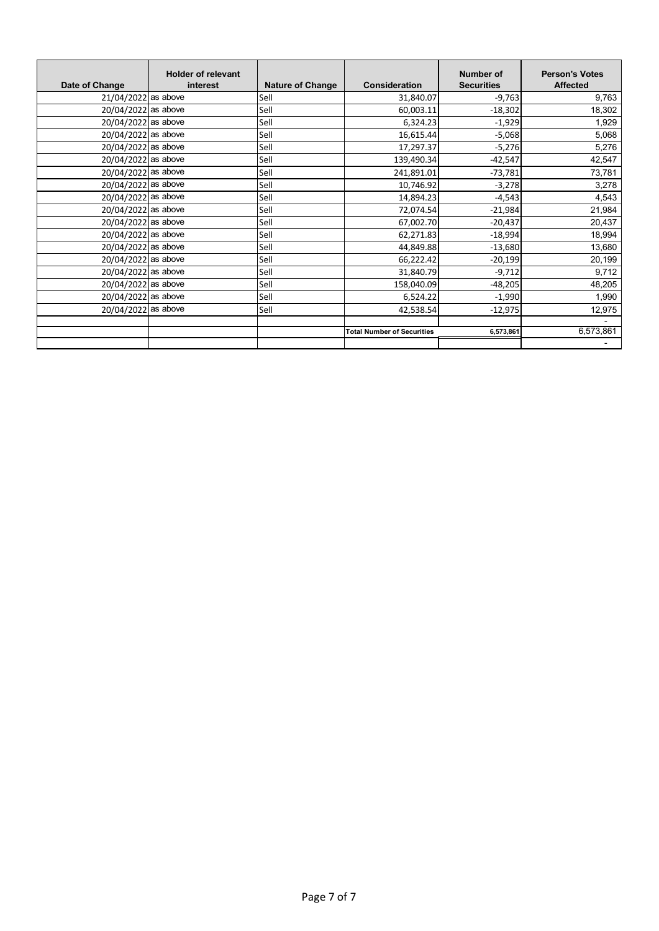| Date of Change      | <b>Holder of relevant</b><br>interest | <b>Nature of Change</b> | <b>Consideration</b>              | <b>Number of</b><br><b>Securities</b> | <b>Person's Votes</b><br><b>Affected</b> |
|---------------------|---------------------------------------|-------------------------|-----------------------------------|---------------------------------------|------------------------------------------|
| 21/04/2022 as above |                                       | Sell                    | 31,840.07                         | $-9,763$                              | 9,763                                    |
| 20/04/2022 as above |                                       | Sell                    | 60,003.11                         | $-18,302$                             | 18,302                                   |
| 20/04/2022 as above |                                       | Sell                    | 6,324.23                          | $-1,929$                              | 1,929                                    |
| 20/04/2022 as above |                                       | Sell                    | 16,615.44                         | $-5,068$                              | 5,068                                    |
| 20/04/2022 as above |                                       | Sell                    | 17,297.37                         | $-5,276$                              | 5,276                                    |
| 20/04/2022 as above |                                       | Sell                    | 139,490.34                        | $-42,547$                             | 42,547                                   |
| 20/04/2022 as above |                                       | Sell                    | 241,891.01                        | $-73,781$                             | 73,781                                   |
| 20/04/2022 as above |                                       | Sell                    | 10,746.92                         | $-3,278$                              | 3,278                                    |
| 20/04/2022 as above |                                       | Sell                    | 14,894.23                         | $-4,543$                              | 4,543                                    |
| 20/04/2022 as above |                                       | Sell                    | 72,074.54                         | $-21,984$                             | 21,984                                   |
| 20/04/2022 as above |                                       | Sell                    | 67,002.70                         | $-20,437$                             | 20,437                                   |
| 20/04/2022 as above |                                       | Sell                    | 62,271.83                         | $-18,994$                             | 18,994                                   |
| 20/04/2022 as above |                                       | Sell                    | 44,849.88                         | $-13,680$                             | 13,680                                   |
| 20/04/2022 as above |                                       | Sell                    | 66,222.42                         | $-20,199$                             | 20,199                                   |
| 20/04/2022 as above |                                       | Sell                    | 31,840.79                         | $-9,712$                              | 9,712                                    |
| 20/04/2022 as above |                                       | Sell                    | 158,040.09                        | $-48,205$                             | 48,205                                   |
| 20/04/2022 as above |                                       | Sell                    | 6,524.22                          | $-1,990$                              | 1,990                                    |
| 20/04/2022 as above |                                       | Sell                    | 42,538.54                         | $-12,975$                             | 12,975                                   |
|                     |                                       |                         |                                   |                                       |                                          |
|                     |                                       |                         | <b>Total Number of Securities</b> | 6,573,861                             | 6,573,861                                |
|                     |                                       |                         |                                   |                                       |                                          |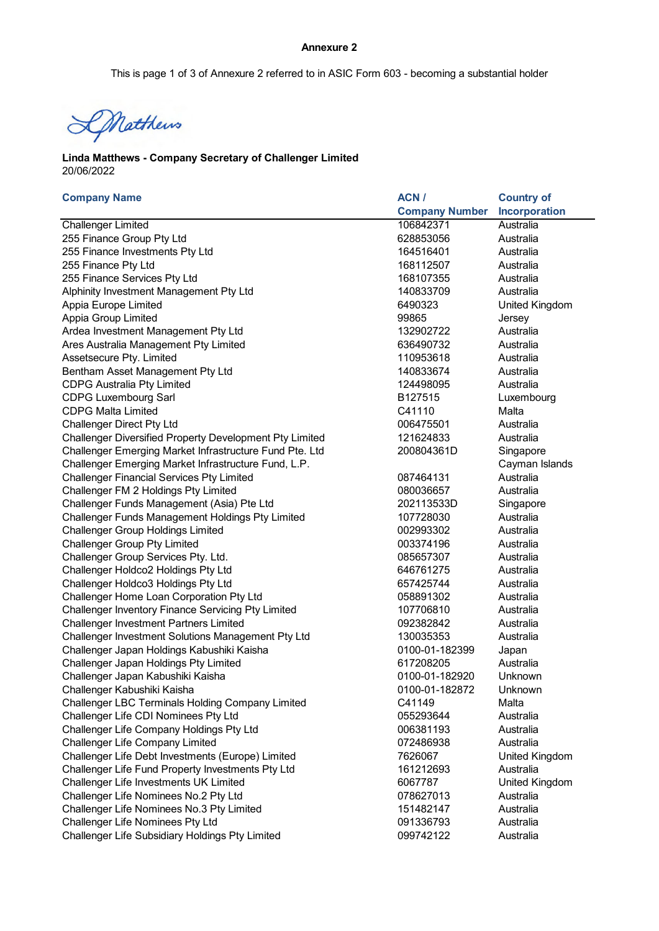## **Annexure 2**

This is page 1 of 3 of Annexure 2 referred to in ASIC Form 603 - becoming a substantial holder

DMatthews

## 20/06/2022 **Linda Matthews - Company Secretary of Challenger Limited**

| <b>Company Name</b>                                     | ACN/                  | <b>Country of</b>     |
|---------------------------------------------------------|-----------------------|-----------------------|
|                                                         | <b>Company Number</b> | Incorporation         |
| <b>Challenger Limited</b>                               | 106842371             | Australia             |
| 255 Finance Group Pty Ltd                               | 628853056             | Australia             |
| 255 Finance Investments Pty Ltd                         | 164516401             | Australia             |
| 255 Finance Pty Ltd                                     | 168112507             | Australia             |
| 255 Finance Services Pty Ltd                            | 168107355             | Australia             |
| Alphinity Investment Management Pty Ltd                 | 140833709             | Australia             |
| Appia Europe Limited                                    | 6490323               | <b>United Kingdom</b> |
| Appia Group Limited                                     | 99865                 | Jersey                |
| Ardea Investment Management Pty Ltd                     | 132902722             | Australia             |
| Ares Australia Management Pty Limited                   | 636490732             | Australia             |
| Assetsecure Pty. Limited                                | 110953618             | Australia             |
| Bentham Asset Management Pty Ltd                        | 140833674             | Australia             |
| <b>CDPG Australia Pty Limited</b>                       | 124498095             | Australia             |
| <b>CDPG Luxembourg Sarl</b>                             | B127515               | Luxembourg            |
| <b>CDPG Malta Limited</b>                               | C41110                | Malta                 |
| <b>Challenger Direct Pty Ltd</b>                        | 006475501             | Australia             |
| Challenger Diversified Property Development Pty Limited | 121624833             | Australia             |
| Challenger Emerging Market Infrastructure Fund Pte. Ltd | 200804361D            | Singapore             |
| Challenger Emerging Market Infrastructure Fund, L.P.    |                       | Cayman Islands        |
| <b>Challenger Financial Services Pty Limited</b>        | 087464131             | Australia             |
| Challenger FM 2 Holdings Pty Limited                    | 080036657             | Australia             |
| Challenger Funds Management (Asia) Pte Ltd              | 202113533D            | Singapore             |
| Challenger Funds Management Holdings Pty Limited        | 107728030             | Australia             |
| <b>Challenger Group Holdings Limited</b>                | 002993302             | Australia             |
| <b>Challenger Group Pty Limited</b>                     | 003374196             | Australia             |
| Challenger Group Services Pty. Ltd.                     | 085657307             | Australia             |
| Challenger Holdco2 Holdings Pty Ltd                     | 646761275             | Australia             |
| Challenger Holdco3 Holdings Pty Ltd                     | 657425744             | Australia             |
| Challenger Home Loan Corporation Pty Ltd                | 058891302             | Australia             |
| Challenger Inventory Finance Servicing Pty Limited      | 107706810             | Australia             |
| <b>Challenger Investment Partners Limited</b>           | 092382842             | Australia             |
| Challenger Investment Solutions Management Pty Ltd      | 130035353             | Australia             |
| Challenger Japan Holdings Kabushiki Kaisha              | 0100-01-182399        | Japan                 |
| Challenger Japan Holdings Pty Limited                   | 617208205             | Australia             |
| Challenger Japan Kabushiki Kaisha                       | 0100-01-182920        | Unknown               |
| Challenger Kabushiki Kaisha                             | 0100-01-182872        | Unknown               |
| <b>Challenger LBC Terminals Holding Company Limited</b> | C41149                | Malta                 |
| Challenger Life CDI Nominees Pty Ltd                    | 055293644             | Australia             |
| Challenger Life Company Holdings Pty Ltd                | 006381193             | Australia             |
| Challenger Life Company Limited                         | 072486938             | Australia             |
| Challenger Life Debt Investments (Europe) Limited       | 7626067               | United Kingdom        |
| Challenger Life Fund Property Investments Pty Ltd       | 161212693             | Australia             |
| Challenger Life Investments UK Limited                  | 6067787               | United Kingdom        |
| Challenger Life Nominees No.2 Pty Ltd                   | 078627013             | Australia             |
| Challenger Life Nominees No.3 Pty Limited               | 151482147             | Australia             |
| <b>Challenger Life Nominees Pty Ltd</b>                 | 091336793             | Australia             |
| Challenger Life Subsidiary Holdings Pty Limited         | 099742122             | Australia             |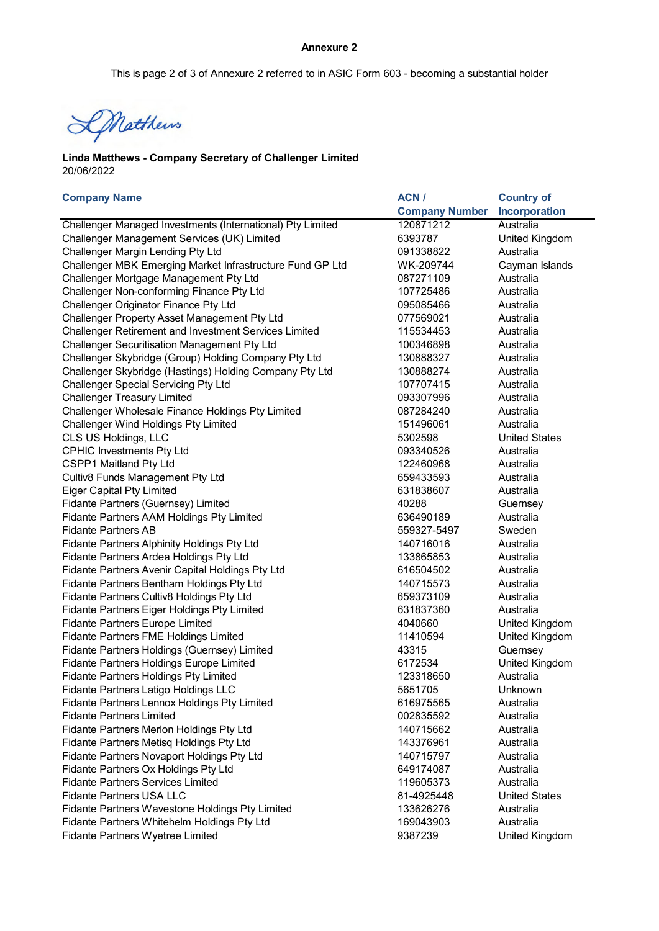This is page 2 of 3 of Annexure 2 referred to in ASIC Form 603 - becoming a substantial holder

DMatthews

## 20/06/2022 **Linda Matthews - Company Secretary of Challenger Limited**

| <b>Company Name</b>                                        | ACN /                 | <b>Country of</b>    |
|------------------------------------------------------------|-----------------------|----------------------|
|                                                            | <b>Company Number</b> | Incorporation        |
| Challenger Managed Investments (International) Pty Limited | 120871212             | Australia            |
| Challenger Management Services (UK) Limited                | 6393787               | United Kingdom       |
| <b>Challenger Margin Lending Pty Ltd</b>                   | 091338822             | Australia            |
| Challenger MBK Emerging Market Infrastructure Fund GP Ltd  | WK-209744             | Cayman Islands       |
| Challenger Mortgage Management Pty Ltd                     | 087271109             | Australia            |
| Challenger Non-conforming Finance Pty Ltd                  | 107725486             | Australia            |
| Challenger Originator Finance Pty Ltd                      | 095085466             | Australia            |
| Challenger Property Asset Management Pty Ltd               | 077569021             | Australia            |
| Challenger Retirement and Investment Services Limited      | 115534453             | Australia            |
| Challenger Securitisation Management Pty Ltd               | 100346898             | Australia            |
| Challenger Skybridge (Group) Holding Company Pty Ltd       | 130888327             | Australia            |
| Challenger Skybridge (Hastings) Holding Company Pty Ltd    | 130888274             | Australia            |
| <b>Challenger Special Servicing Pty Ltd</b>                | 107707415             | Australia            |
| <b>Challenger Treasury Limited</b>                         | 093307996             | Australia            |
| Challenger Wholesale Finance Holdings Pty Limited          | 087284240             | Australia            |
| Challenger Wind Holdings Pty Limited                       | 151496061             | Australia            |
| CLS US Holdings, LLC                                       | 5302598               | <b>United States</b> |
| <b>CPHIC Investments Pty Ltd</b>                           | 093340526             | Australia            |
| CSPP1 Maitland Pty Ltd                                     | 122460968             | Australia            |
| Cultiv8 Funds Management Pty Ltd                           | 659433593             | Australia            |
| <b>Eiger Capital Pty Limited</b>                           | 631838607             | Australia            |
| Fidante Partners (Guernsey) Limited                        | 40288                 | Guernsey             |
| Fidante Partners AAM Holdings Pty Limited                  | 636490189             | Australia            |
| <b>Fidante Partners AB</b>                                 | 559327-5497           | Sweden               |
| Fidante Partners Alphinity Holdings Pty Ltd                | 140716016             | Australia            |
| Fidante Partners Ardea Holdings Pty Ltd                    | 133865853             | Australia            |
| Fidante Partners Avenir Capital Holdings Pty Ltd           | 616504502             | Australia            |
| Fidante Partners Bentham Holdings Pty Ltd                  | 140715573             | Australia            |
| Fidante Partners Cultiv8 Holdings Pty Ltd                  | 659373109             | Australia            |
| Fidante Partners Eiger Holdings Pty Limited                | 631837360             | Australia            |
| <b>Fidante Partners Europe Limited</b>                     | 4040660               | United Kingdom       |
| Fidante Partners FME Holdings Limited                      | 11410594              | United Kingdom       |
| Fidante Partners Holdings (Guernsey) Limited               | 43315                 | Guernsey             |
| Fidante Partners Holdings Europe Limited                   | 6172534               | United Kingdom       |
| Fidante Partners Holdings Pty Limited                      | 123318650             | Australia            |
| Fidante Partners Latigo Holdings LLC                       | 5651705               | Unknown              |
| Fidante Partners Lennox Holdings Pty Limited               | 616975565             | Australia            |
| <b>Fidante Partners Limited</b>                            | 002835592             | Australia            |
| Fidante Partners Merlon Holdings Pty Ltd                   | 140715662             | Australia            |
| Fidante Partners Metisq Holdings Pty Ltd                   | 143376961             | Australia            |
| Fidante Partners Novaport Holdings Pty Ltd                 | 140715797             | Australia            |
| Fidante Partners Ox Holdings Pty Ltd                       | 649174087             | Australia            |
| <b>Fidante Partners Services Limited</b>                   | 119605373             | Australia            |
| <b>Fidante Partners USA LLC</b>                            | 81-4925448            | <b>United States</b> |
| Fidante Partners Wavestone Holdings Pty Limited            | 133626276             | Australia            |
| Fidante Partners Whitehelm Holdings Pty Ltd                | 169043903             | Australia            |
| Fidante Partners Wyetree Limited                           | 9387239               | United Kingdom       |